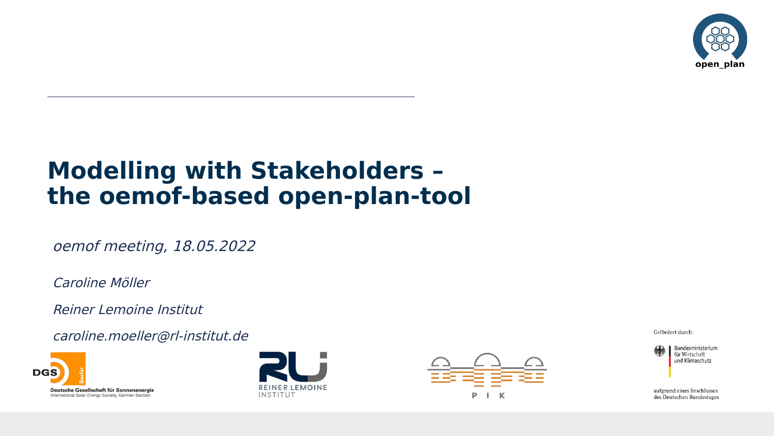

# **Modelling with Stakeholders – the oemof-based open-plan-tool**

oemof meeting, 18.05.2022

Caroline Möller

Reiner Lemoine Institut

caroline.moeller@rl-institut.de







Gefördert durch:

Bundesministerium für Wirtschaft und Klimaschutz

aufgrund eines Beschlusses des Deutschen Bundestages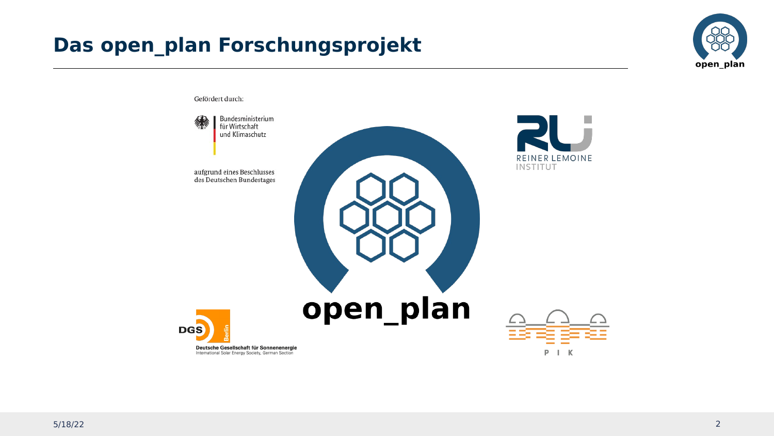## **Das open\_plan Forschungsprojekt**



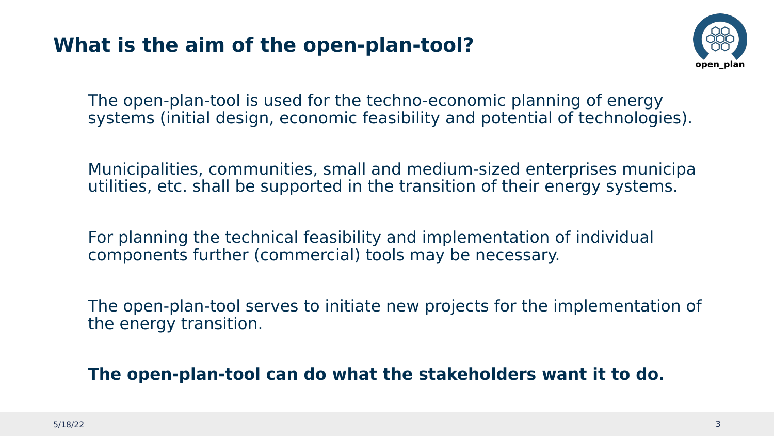### **What is the aim of the open-plan-tool?**



The open-plan-tool is used for the techno-economic planning of energy systems (initial design, economic feasibility and potential of technologies).

Municipalities, communities, small and medium-sized enterprises municipa utilities, etc. shall be supported in the transition of their energy systems.

For planning the technical feasibility and implementation of individual components further (commercial) tools may be necessary.

The open-plan-tool serves to initiate new projects for the implementation of the energy transition.

**The open-plan-tool can do what the stakeholders want it to do.**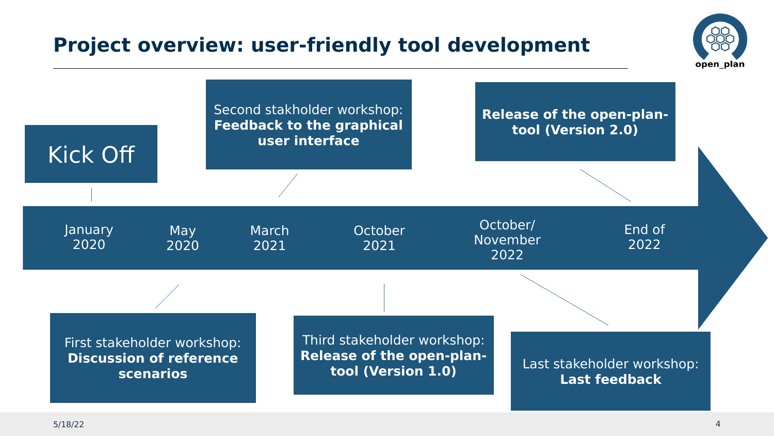### **Project overview: user-friendly tool development**



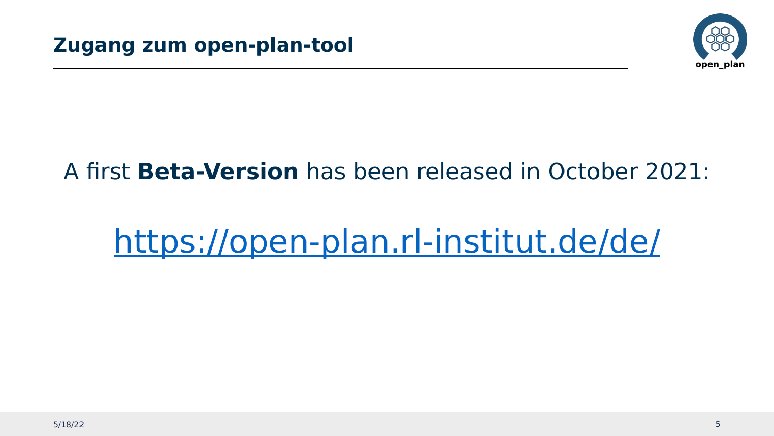

# A first **Beta-Version** has been released in October 2021:

# <https://open-plan.rl-institut.de/de/>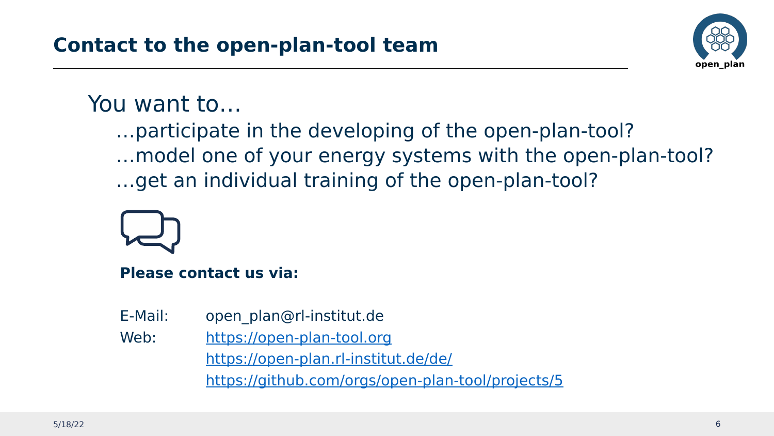

# You want to…

…participate in the developing of the open-plan-tool? …model one of your energy systems with the open-plan-tool? …get an individual training of the open-plan-tool?

**Please contact us via:** 

E-Mail: open\_plan@rl-institut.de Web: [https://open-plan-tool.org](https://open-plan-tool.org/) <https://open-plan.rl-institut.de/de/> <https://github.com/orgs/open-plan-tool/projects/5>